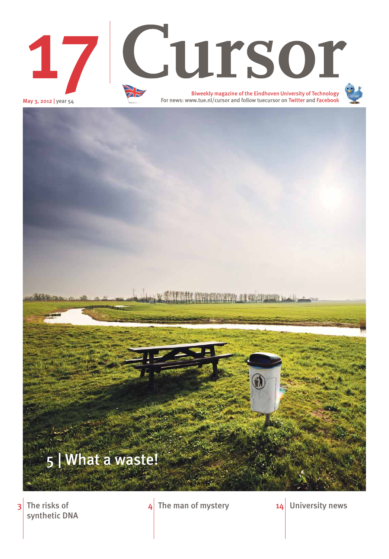May 3, 2012 | year 54

The risks of synthetic DNA

## $3$  The risks of  $4$  The man of mystery  $14$  University news



# Biweekly magazine of the Eindhoven University of Technology 17 Cursor



For news: www.tue.nl/cursor and follow tuecursor on Twitter and Facebook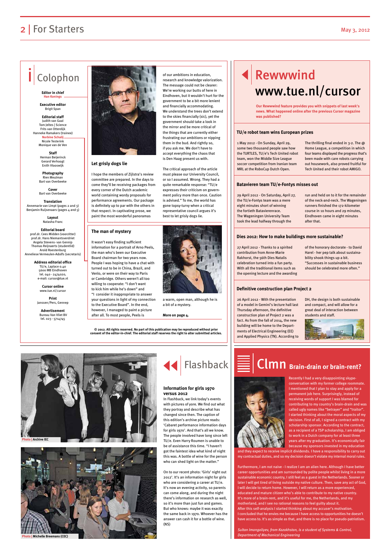#### **Let grisly dogs lie**

I hope the members of Zijlstra's review committee are prepared. In the days to come they'll be receiving packages from every corner of the Dutch academic world containing wordy proposals for performance agreements. Our package is definitely up to par with the others in that respect. In captivating prose, we paint the most wonderful panoramas

of our ambitions in education, research and knowledge valorization. The message could not be clearer: We're working our butts of here in Eindhoven, but it wouldn't hurt for the government to be a bit more lenient and financially accommodating. We understand the trees don't extend to the skies financially (sic), yet the government should take a look in the mirror and be more critical of the things that are currently either frustrating our ambitions or nipping them in the bud. And rightly so, if you ask me. We don't have to accept everything the chaos that is Den Haag present us with.

**Translation** Annemarie van Limpt (pages 2 and 3) Beniamin Ruijsenaars (pages 4 and 5) The critical approach of the article must please our University Council, or so I assumed. Wrong. They had a quite remarkable response: "TU/e expresses their criticism on government policy more than once. Caution is advised." To me, the world has gone topsy-turvy when a critical representative council argues it's best to let grisly dogs lie.





## 2 | For Starters May 3, 2012

## Colophon

#### **Editor in chief Han Konings**

**Executive editor**  Brigit Span

**Editorial staff** Judith van Gaal Tom Jeltes | Science Frits van Otterdijk Hanneke Ramakers (trainee)

> **Norbine Schalij** Nicole Testerink Monique van de Ven

**Staff**  Herman Beijerinck Gerard Verhoogt Enith Vlooswijk

**Photography**  Rien Meulman Bart van Overbeeke

**Cover** Bart van Overbeeke

> **Layout** Natasha Franc

**Editorial board** prof.dr. Cees Midden (voorzitter) prof.dr. Hans Niemantsverdriet Angela Stevens- van Gennip Thomas Reijnaerts (studentlid) Arold Roestenburg Anneliese Vermeulen-Adolfs (secretaris)

> **Address editorial office** TU/e, Laplace 0.40 5600 MB Eindhoven tel. 040 - 2474020, e-mail: cursor@tue.nl

> > **Cursor online** www.tue.nl/cursor

**Print** Janssen/Pers, Gennep

**Advertisement** Bureau Van Vliet BV tel. 023 - 5714745



**© 2012. All rights reserved. No part of this publication may be reproduced without prior consent of the editor-in-chief. The editorial staff reserves the right to alter submitted articles.** 1 May 2012 - On Sunday, April 29, some two thousand people saw how the TURTLES, TU/e's Tech United robot team, won the Middle Size League soccer competition from Iranian team MRL at the RoboCup Dutch Open.

The thrilling final ended in 3-2. The @ Home League, a competition in which four teams displayed the progress that's been made with care robots carrying out housework, also proved fruitful for Tech United and their robot AMIGO.

29 April 2012 - On Saturday, April 27, the TU/e-Fontys team was a mere eight minutes short of winning the fortieth Batavierenrace. The Wageningen University Team took the lead halfway through the

run and held on to it for the remainder of the neck-and-neck. The Wageningen runners finished the 172-kilometer course in 10 hours and 29 minutes, Eindhoven came in eight minutes after that.

27 April 2012 - Thanks to a spirited contribution from Anne-Marie Rakhorst, the 56th Dies Natalis celebration turned into a fun party. With all the traditional items such as the opening lecture and the awarding of the honorary doctorate - to David Harel - her pep talk about sustainability shook things up a bit. "Successes in sustainable business should be celebrated more often."

26 April 2012 - With the presentation of a model in Gemini's lecture hall last Thursday afternoon, the definitive construction plan of Project 2 was a fact. As from the fall of 2014, the new building will be home to the Departments of Electrical Engineering (EE) and Applied Physics (TN). According to





#### **TU/e robot team wins European prizes**

#### **Batavieren team TU/e-Fontys misses out**

#### **Dies 2012: How to make buildings more sustainable?**

#### **Definitive construction plan Project 2**

**Our Rewwwind feature provides you with snippets of last week's news. What happened online after the previous Cursor magazine was published?**

#### **The man of mystery**

It wasn't easy finding sufficient information for a portrait of Arno Peels, the man who's been our Executive Board chairman for two years now. People I was hoping to have a chat with turned out to be in China, Brazil, and Venlo, or were on their way to Paris or Cambridge. Others weren't all too willing to cooperate: "I don't want to kick him while he's down" and "I consider it inappropriate to answer your questions in light of my connection to the Executive Board". In the end, however, I managed to paint a picture after all. To most people, Peels is

> Recently I had a very disappointing skypeconversation with my former college roommate. I mentioned that I plan to stay and apply for a permanent job here. Surprisingly, instead of receiving words of support I was blamed for contributing to my country's brain-drain and was called ugly names like "betrayer" and "traitor". I started thinking about the moral aspects of my decision. First of all, I signed a contract with my scholarship sponsor. According to the contract,



as a recipient of a TSP scholarship, I am obliged to work in a Dutch company for at least three years after my graduation. It's economically fair because my sponsors invested in my education

and they expect to receive implicit dividends. I have a responsibility to carry out my contractual duties, and so my decision doesn't violate my internal moral rules.

Furthermore, I am not naive - I realize I am an alien here. Although I have better career opportunities and am surrounded by polite people whilst living in a more sustainable economic country, I still feel as a guest in the Netherlands. Sooner or later I will get tired of living outside my native culture. Then, save any act of God, I will decide to return home. However, I will return as a more experienced, educated and mature citizen who's able to contribute to my native country. It's more of a brain-rent, and it's useful for me, the Netherlands, and my motherland, and I see no rational reasons to feel guilty about it. After this self-analysis I started thinking about my accuser's motivation. I concluded that he envies me because I have access to opportunities he doesn't have access to. It's as simple as that, and there is no place for pseudo-patriotism.

*Sultan Imangaliyev, from Kazakhstan, is a student of Systems & Control, Department of Mechanical Engineering*

# Clmn **Brain-drain or brain-rent?**

a warm, open man, although he is a bit of a mystery.

**More on page 4.**

In Flashback, we link today's events with pictures of yore. We find out what they portray and describe what has changed since then. The caption of this edition's archive picture reads: 'Cabaret performance information days

for girls 1970'. And that's all we know. The people involved have long since left TU/e. Even Harry Roumen is unable to be of assistance this time. "I haven't got the faintest idea what kind of night this was. A bottle of wine for the person who can shed light on the matter."

On to our recent photo: 'Girls' night out 2012'. It's an information night for girls who are considering a career at TU/e. It's now an evening activity, so parents can come along, and during the night there's information on research as well, so it's more than just fun and games. But who knows: maybe it was exactly the same back in 1970. Whoever has the answer can cash it for a bottle of wine. (NS)



#### **Information for girls 1970 versus 2012**





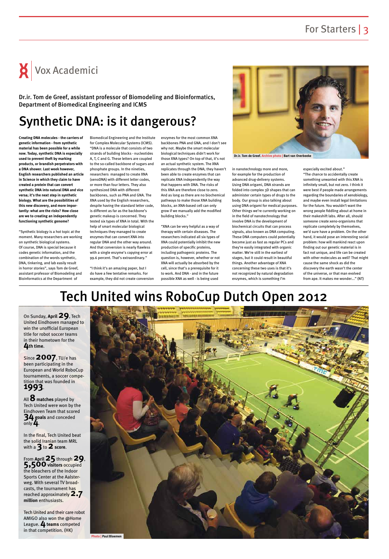# $\mathsf{X}$  Vox Academici

# Tech United wins RoboCup Dutch Open 2012



On Sunday, **April29**, Tech United Eindhoven managed to win the unofficial European title for robot soccer teams in their hometown for the **4th time**.

Since **2007**, TU/e has been participating in the European and World RoboCup tournaments, a soccer competition that was founded in **1993**.

All **8 matches** played by Tech United were won by the Eindhoven Team that scored **34 goals** and conceded only **4**.

In the final, Tech United beat the solid Iranian team MRL with a **3** to **2score**.

From **April25** through **29**, **5,500visitors** occupied the bleachers of the Indoor Sports Center at the Aalsterweg. With several TV broadcasts, the tournament has reached approximately **2.7 million** enthusiasts.

Tech United and their care robot AMIGO also won the @Home League. 4 teams competed in that competition. (HK)

## Synthetic DNA: is it dangerous?

**Creating DNA molecules - the carriers of genetic information - from synthetic material has been possible for a while now. Today, synthetic DNA is especially used to prevent theft by marking products, or brandish perpetrators with a DNA shower. Last week however, English researchers published an article in Science in which they claim to have created a protein that can convert synthetic DNA into natural DNA and vice versa; it's the next step in synthetic biology. What are the possibilities of this new discovery, and more importantly: what are the risks? How close are we to creating an independently functioning synthetic genome?**

"Synthetic biology is a hot topic at the moment. Many researchers are working on synthetic biological systems. Of course, DNA is special because it codes genetic information, and the combination of the words synthetic, DNA, tinkering, and lab easily result in horror stories", says Tom de Greef, assistant professor of Biomodeling and Bioinformatics at the Department of

Biomedical Engineering and the Institute for Complex Molecular Systems (ICMS). "DNA is a molecule that consists of two strands of building blocks - nucleotides A, T, C and G. These letters are coupled to the so-called backbone of sugars and phosphate groups. In the nineties, researchers managed to create XNA (xenoDNA) with different letter codes, or more than four letters. They also synthesized DNA with different backbones, such as PNA and GNA. The XNA used by the English researchers, despite having the standard letter code, is different as far as the backbone's genetic makeup is concerned. They tested six types of XNA in total. With the help of smart molecular biological techniques they managed to create enzymes that can convert XNA into regular DNA and the other way around. And that conversion is nearly flawless with a single enzyme's copying error at 99.6 percent. That's extraordinary."

"I think it's an amazing paper, but I do have a few tentative remarks. For example, they did not create conversion enzymes for the most common XNA backbones PNA and GNA, and I don't see why not. Maybe the smart molecular biological techniques didn't work for those XNA types? On top of that, it's not an actual synthetic system. The XNA replicates through the DNA; they haven't been able to create enzymes that can replicate XNA independently the way that happens with DNA. The risks of this XNA are therefore close to zero. And as long as there are no biochemical pathways to make those XNA building blocks, an XNA-based cell can only grow if we manually add the modified building blocks."

"XNA can be very helpful as a way of therapy with certain diseases. The researchers indicated all six types of XNA could potentially inhibit the new production of specific proteins, including pathogenic proteins. The question is, however, whether or not XNA will actually be absorbed by the cell, since that's a prerequisite for it to work. And DNA - and in the future possible XNA as well - is being used

in nanotechnology more and more, for example for the production of advanced drug-delivery systems. Using DNA origami, DNA strands are folded into complex 3D shapes that can administer certain types of drugs to the body. Our group is also talking about using DNA origami for medical purposes. Other things we're currently working on in the field of nanotechnology that involve DNA is the development of biochemical circuits that can process signals, also known as DNA computing. These DNA computers could potentially become just as fast as regular PCs and they're easily integrated with organic matter. We're still in the earliest of stages, but it could result in beautiful things. Another advantage of XNA concerning these two uses is that it's not recognized by natural degradation enzymes, which is something I'm

especially excited about." "The chance to accidentally create something unwanted with this XNA is infinitely small, but not zero. I think it were best if people made arrangements regarding the boundaries of xenobiology, and maybe even install legal limitations for the future. You wouldn't want the wrong people fiddling about at home in their makeshift labs. After all, should someone create xeno-organisms that replicate completely by themselves, we'd sure have a problem. On the other hand, it would pose an interesting social problem: how will mankind react upon finding out our genetic material is in fact not unique, and life can be created with other molecules as well? That might cause the same shock as did the discovery the earth wasn't the center of the universe, or that man evolved from ape. It makes me wonder..." (NT)

Dr.ir. Tom de Greef, assistant professor of Biomodeling and Bioinformatics, Department of Biomedical Engineering and ICMS



**Dr.ir. Tom de Greef. Archive photo | Bart van Overbeeke**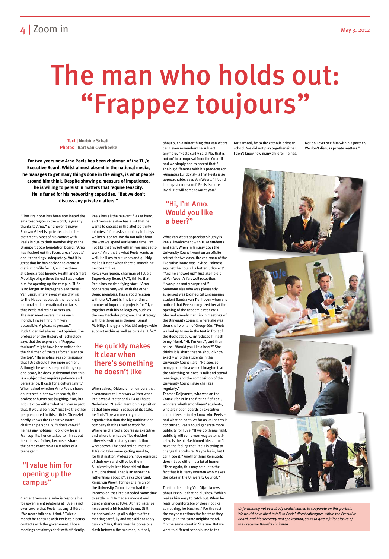"That Brainport has been nominated the smartest region in the world, is greatly thanks to Arno." Eindhoven's mayor Rob van Gijzel is quite decided in his statement. Most of his contact with Peels is due to their membership of the Brainport 2020 foundation board. "Arno has fleshed out the focus areas 'people' and 'technology' adequately. And it is great that he has decided to create a distinct profile for TU/e in the three strategic areas Energy, Health and Smart Mobility: bingo three times! I also value him for opening up the campus. TU/e is no longer an impregnable fortress." Van Gijzel, interviewed while driving to The Hague, applauds the regional, national and international contacts that Peels maintains or sets up. The men meet several times each month. I myself find him very accessible. A pleasant person." Ruth Oldenziel shares that opinion. The professor of the History of Technology says that the expression "Frappez toujours" might have been written for the chairman of the taskforce 'Talent to the top'. "He emphasizes continuously that TU/e should have more women. Although he wants to speed things up and score, he does understand that this is a subject that requires patience and persistence. It calls for a cultural shift." When asked whether Arno Peels shows an interest in her own research, the professor bursts out laughing. "No, but I don't know either whether I can expect that. It would be nice." Just like the other people quoted in this article, Oldenziel hardly knows the Executive Board chairman personally. "I don't know if he has any hobbies. I do know he is a Francophile. I once talked to him about his role as a father, because I share the same concerns as a mother of a teenager."

Clement Goossens, who is responsible for government relations at TU/e, is not even aware that Peels has any children. "We never talk about that." Twice a month he consults with Peels to discuss contacts with the government. Those meetings are always dealt with efficiently.

Peels has all the relevant files at hand, and Goossens also has a list that he wants to discuss in the allotted thirty minutes. "If he asks about my holidays we keep it short. We do not talk about the way we spend our leisure time. I'm not like that myself either - we just set to work." And that is what Peels wants as well. He likes to cut knots and quickly makes it clear when there's something he doesn't like.

Rokus van Iperen, chairman of TU/e's Supervisory Board (RvT), thinks that Peels has made a flying start: "Arno cooperates very well with the other Board members, has a good relation with the RvT and is implementing a number of important projects for TU/e together with his colleagues, such as the new Bachelor program. The strategy with the three main themes (Smart Mobility, Energy and Health) enjoys wide support within as well as outside TU/e."

When asked, Oldenziel remembers that a venomous column was written when Peels was director and CEO at Thales Nederland. "He did mention his position at that time once. Because of its scale, he finds TU/e a more congenial organization than the big multinational company that he used to work for.

**For two years now Arno Peels has been chairman of the TU/e Executive Board. Whilst almost absent in the national media, he manages to get many things done in the wings, is what people around him think. Despite showing a measure of impatience, he is willing to persist in matters that require tenacity. He is famed for his networking capacities. "But we don't**  discuss any private matters." **The Private of Armo.** The **"Hi, I'm Arno.** 

> Where he charted a course as executive and where the head office decided otherwise without any consultation whatsoever. The academic climate at TU/e did take some getting used to, for that matter. Professors have opinions of their own and will voice them. A university is less hierarchical than a multinational. That is an aspect he rather likes about it", says Oldenziel. Rinus van Weert, former chairman of the University Council, also had the impression that Peels needed some time to settle in. "He made a modest and quiet entrance at TU/e. At first instance he seemed a bit bashful to me. Still, he had worked up all subjects of the meeting carefully and was able to reply quickly." Yes, there was the occasional clash between the two men, but only

about such a minor thing that Van Weert can't even remember the subject anymore. "Peels curtly said 'No, that is not on' to a proposal from the Council and we simply had to accept that." The big difference with his predecessor -Amandus Lundqvist- is that Peels is so approachable, says Van Weert. "I found Lundqvist more aloof. Peels is more jovial. He will come towards you."

What Van Weert appreciates highly is Peels' involvement with TU/e students and staff. When in January 2011 the University Council went on an offsite retreat for two days, the chairman of the Executive Board was invited -"almost against the Council's better judgment". "And he showed up!" Just like he did at Van Weert's farewell reception. "I was pleasantly surprised." Someone else who was pleasantly surprised was Biomedical Engineering student Sandra van Tienhoven when she noticed that Peels recognized her at the opening of the academic year 2011. She had already met him in meetings of the University Council, where she was then chairwoman of Groep-één. "Peels walked up to me in the tent in front of the Hoofdgebouw, introduced himself to my friend, "Hi, I'm Arno", and then asked: "Would you like a beer?" She thinks it is sharp that he should know exactly who the students in the University Council are. "He sees so many people in a week, I imagine that the only thing he does is talk and attend meetings, and the composition of the University Council also changes regularly."

Thomas Reijnaerts, who was on the Council for PF in the first half of 2011, wonders whether 'ordinary' students, who are not on boards or executive committees, actually know who Peels is and what he does. As far as Reijnaerts is concerned, Peels could generate more

publicity for TU/e. "If we do things right, publicity will come your way automatically, is the old-fashioned idea. I don't have the feeling that Peels is trying to change that culture. Maybe he is, but I can't see it." Another thing Reijnaerts doesn't see either, is a lot of humor. "Then again, this may be due to the fact that it is Harry Roumen who makes the jokes in the University Council."

The funniest thing Van Gijzel knows about Peels, is that he blushes. "Which makes him easy to catch out. When he feels uncomfortable or does not like something, he blushes." For the rest the mayor mentions the fact that they grew up in the same neighborhood. "In the same street in Stratum. But we went to different schools, me to the

Nutsschool, he to the catholic primary school. We did not play together either. I don't know how many children he has. Nor do I ever see him with his partner. We don't discuss private matters."



# The man who holds out: "Frappez toujours"

**Text | Norbine Schalij Photos | Bart van Overbeeke**

## Would you like a beer?"

### "I value him for opening up the campus"

### He quickly makes it clear when there's something he doesn't like

*Unfortunately not everybody could/wanted to cooperate on this portrait. We would have liked to talk to Peels' direct colleagues within the Executive Board, and his secretary and spokesman, so as to give a fuller picture of the Executive Board's chairman.*